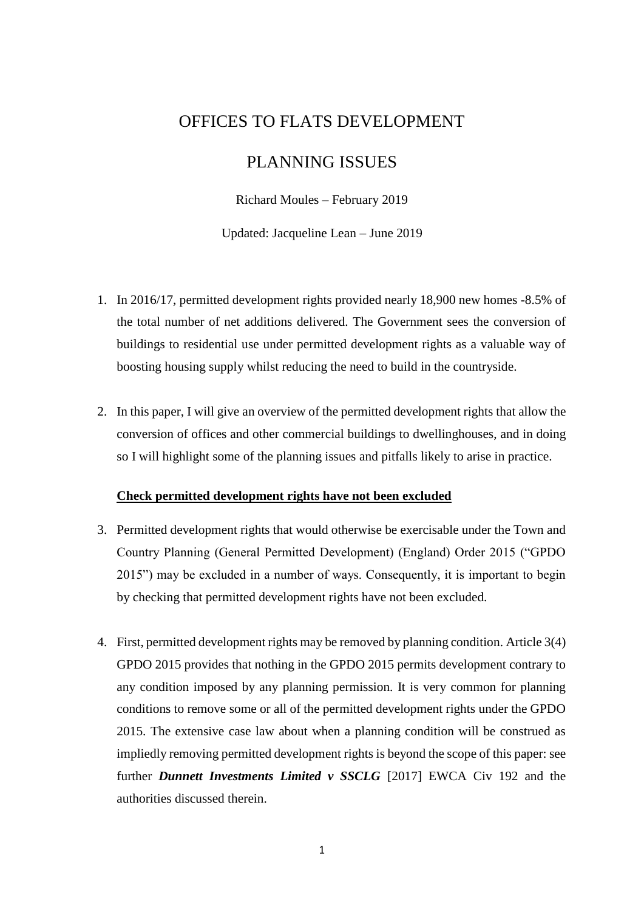# OFFICES TO FLATS DEVELOPMENT

# PLANNING ISSUES

Richard Moules – February 2019

Updated: Jacqueline Lean – June 2019

- 1. In 2016/17, permitted development rights provided nearly 18,900 new homes -8.5% of the total number of net additions delivered. The Government sees the conversion of buildings to residential use under permitted development rights as a valuable way of boosting housing supply whilst reducing the need to build in the countryside.
- 2. In this paper, I will give an overview of the permitted development rights that allow the conversion of offices and other commercial buildings to dwellinghouses, and in doing so I will highlight some of the planning issues and pitfalls likely to arise in practice.

#### **Check permitted development rights have not been excluded**

- 3. Permitted development rights that would otherwise be exercisable under the Town and Country Planning (General Permitted Development) (England) Order 2015 ("GPDO 2015") may be excluded in a number of ways. Consequently, it is important to begin by checking that permitted development rights have not been excluded.
- 4. First, permitted development rights may be removed by planning condition. Article 3(4) GPDO 2015 provides that nothing in the GPDO 2015 permits development contrary to any condition imposed by any planning permission. It is very common for planning conditions to remove some or all of the permitted development rights under the GPDO 2015. The extensive case law about when a planning condition will be construed as impliedly removing permitted development rights is beyond the scope of this paper: see further *Dunnett Investments Limited v SSCLG* [2017] EWCA Civ 192 and the authorities discussed therein.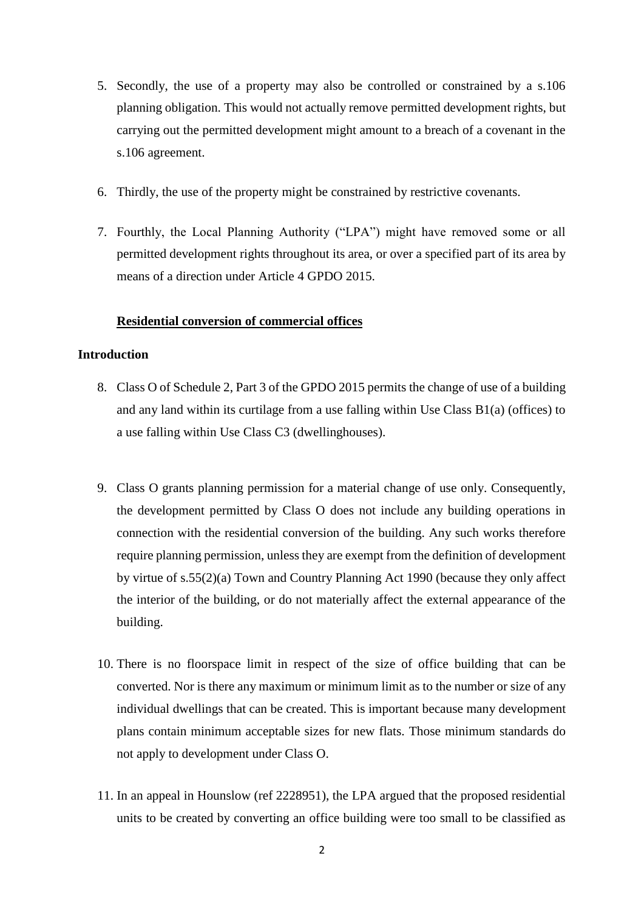- 5. Secondly, the use of a property may also be controlled or constrained by a s.106 planning obligation. This would not actually remove permitted development rights, but carrying out the permitted development might amount to a breach of a covenant in the s.106 agreement.
- 6. Thirdly, the use of the property might be constrained by restrictive covenants.
- 7. Fourthly, the Local Planning Authority ("LPA") might have removed some or all permitted development rights throughout its area, or over a specified part of its area by means of a direction under Article 4 GPDO 2015.

# **Residential conversion of commercial offices**

# **Introduction**

- 8. Class O of Schedule 2, Part 3 of the GPDO 2015 permits the change of use of a building and any land within its curtilage from a use falling within Use Class B1(a) (offices) to a use falling within Use Class C3 (dwellinghouses).
- 9. Class O grants planning permission for a material change of use only. Consequently, the development permitted by Class O does not include any building operations in connection with the residential conversion of the building. Any such works therefore require planning permission, unless they are exempt from the definition of development by virtue of s.55(2)(a) Town and Country Planning Act 1990 (because they only affect the interior of the building, or do not materially affect the external appearance of the building.
- 10. There is no floorspace limit in respect of the size of office building that can be converted. Nor is there any maximum or minimum limit as to the number or size of any individual dwellings that can be created. This is important because many development plans contain minimum acceptable sizes for new flats. Those minimum standards do not apply to development under Class O.
- 11. In an appeal in Hounslow (ref 2228951), the LPA argued that the proposed residential units to be created by converting an office building were too small to be classified as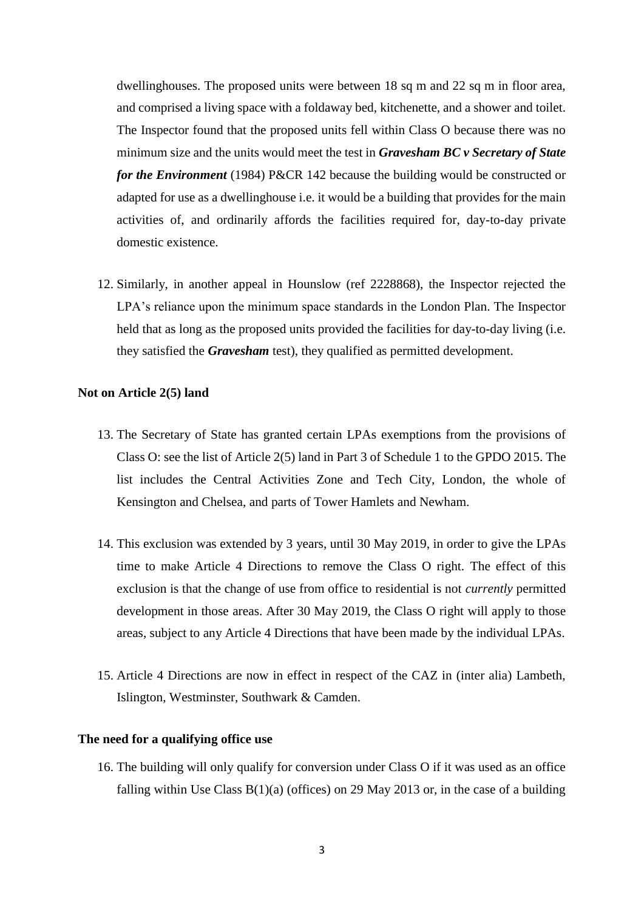dwellinghouses. The proposed units were between 18 sq m and 22 sq m in floor area, and comprised a living space with a foldaway bed, kitchenette, and a shower and toilet. The Inspector found that the proposed units fell within Class O because there was no minimum size and the units would meet the test in *Gravesham BC v Secretary of State for the Environment* (1984) P&CR 142 because the building would be constructed or adapted for use as a dwellinghouse i.e. it would be a building that provides for the main activities of, and ordinarily affords the facilities required for, day-to-day private domestic existence.

12. Similarly, in another appeal in Hounslow (ref 2228868), the Inspector rejected the LPA's reliance upon the minimum space standards in the London Plan. The Inspector held that as long as the proposed units provided the facilities for day-to-day living (i.e. they satisfied the *Gravesham* test), they qualified as permitted development.

#### **Not on Article 2(5) land**

- 13. The Secretary of State has granted certain LPAs exemptions from the provisions of Class O: see the list of Article 2(5) land in Part 3 of Schedule 1 to the GPDO 2015. The list includes the Central Activities Zone and Tech City, London, the whole of Kensington and Chelsea, and parts of Tower Hamlets and Newham.
- 14. This exclusion was extended by 3 years, until 30 May 2019, in order to give the LPAs time to make Article 4 Directions to remove the Class O right. The effect of this exclusion is that the change of use from office to residential is not *currently* permitted development in those areas. After 30 May 2019, the Class O right will apply to those areas, subject to any Article 4 Directions that have been made by the individual LPAs.
- 15. Article 4 Directions are now in effect in respect of the CAZ in (inter alia) Lambeth, Islington, Westminster, Southwark & Camden.

#### **The need for a qualifying office use**

16. The building will only qualify for conversion under Class O if it was used as an office falling within Use Class  $B(1)(a)$  (offices) on 29 May 2013 or, in the case of a building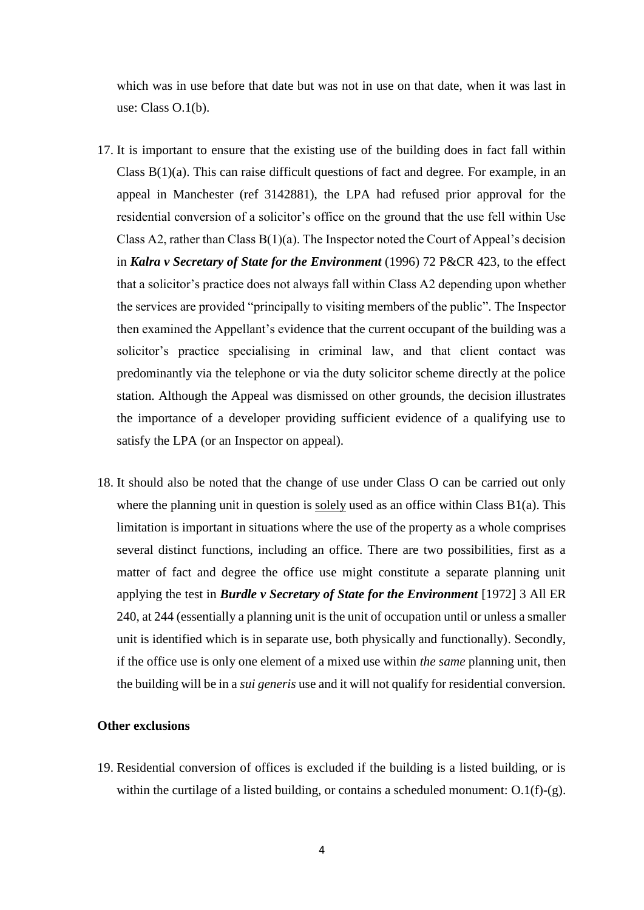which was in use before that date but was not in use on that date, when it was last in use: Class O.1(b).

- 17. It is important to ensure that the existing use of the building does in fact fall within Class B(1)(a). This can raise difficult questions of fact and degree. For example, in an appeal in Manchester (ref 3142881), the LPA had refused prior approval for the residential conversion of a solicitor's office on the ground that the use fell within Use Class A2, rather than Class  $B(1)(a)$ . The Inspector noted the Court of Appeal's decision in *Kalra v Secretary of State for the Environment* (1996) 72 P&CR 423, to the effect that a solicitor's practice does not always fall within Class A2 depending upon whether the services are provided "principally to visiting members of the public". The Inspector then examined the Appellant's evidence that the current occupant of the building was a solicitor's practice specialising in criminal law, and that client contact was predominantly via the telephone or via the duty solicitor scheme directly at the police station. Although the Appeal was dismissed on other grounds, the decision illustrates the importance of a developer providing sufficient evidence of a qualifying use to satisfy the LPA (or an Inspector on appeal).
- 18. It should also be noted that the change of use under Class O can be carried out only where the planning unit in question is solely used as an office within Class  $B1(a)$ . This limitation is important in situations where the use of the property as a whole comprises several distinct functions, including an office. There are two possibilities, first as a matter of fact and degree the office use might constitute a separate planning unit applying the test in *Burdle v Secretary of State for the Environment* [1972] 3 All ER 240, at 244 (essentially a planning unit is the unit of occupation until or unless a smaller unit is identified which is in separate use, both physically and functionally). Secondly, if the office use is only one element of a mixed use within *the same* planning unit, then the building will be in a *sui generis* use and it will not qualify for residential conversion.

#### **Other exclusions**

19. Residential conversion of offices is excluded if the building is a listed building, or is within the curtilage of a listed building, or contains a scheduled monument: O.1(f)-(g).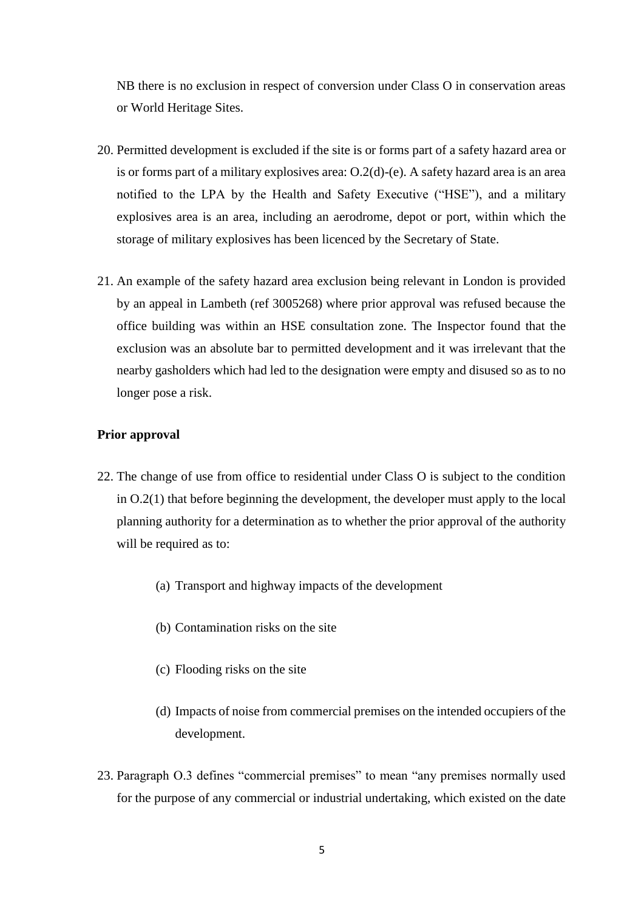NB there is no exclusion in respect of conversion under Class O in conservation areas or World Heritage Sites.

- 20. Permitted development is excluded if the site is or forms part of a safety hazard area or is or forms part of a military explosives area: O.2(d)-(e). A safety hazard area is an area notified to the LPA by the Health and Safety Executive ("HSE"), and a military explosives area is an area, including an aerodrome, depot or port, within which the storage of military explosives has been licenced by the Secretary of State.
- 21. An example of the safety hazard area exclusion being relevant in London is provided by an appeal in Lambeth (ref 3005268) where prior approval was refused because the office building was within an HSE consultation zone. The Inspector found that the exclusion was an absolute bar to permitted development and it was irrelevant that the nearby gasholders which had led to the designation were empty and disused so as to no longer pose a risk.

# **Prior approval**

- 22. The change of use from office to residential under Class O is subject to the condition in O.2(1) that before beginning the development, the developer must apply to the local planning authority for a determination as to whether the prior approval of the authority will be required as to:
	- (a) Transport and highway impacts of the development
	- (b) Contamination risks on the site
	- (c) Flooding risks on the site
	- (d) Impacts of noise from commercial premises on the intended occupiers of the development.
- 23. Paragraph O.3 defines "commercial premises" to mean "any premises normally used for the purpose of any commercial or industrial undertaking, which existed on the date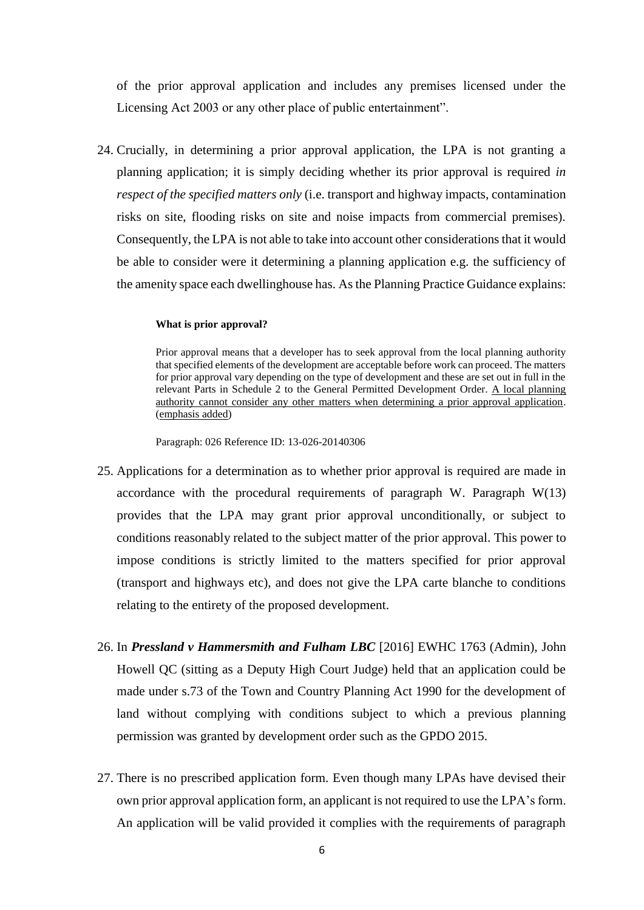of the prior approval application and includes any premises licensed under the Licensing Act 2003 or any other place of public entertainment".

24. Crucially, in determining a prior approval application, the LPA is not granting a planning application; it is simply deciding whether its prior approval is required *in respect of the specified matters only* (i.e. transport and highway impacts, contamination risks on site, flooding risks on site and noise impacts from commercial premises). Consequently, the LPA is not able to take into account other considerations that it would be able to consider were it determining a planning application e.g. the sufficiency of the amenity space each dwellinghouse has. As the Planning Practice Guidance explains:

#### **What is prior approval?**

Prior approval means that a developer has to seek approval from the local planning authority that specified elements of the development are acceptable before work can proceed. The matters for prior approval vary depending on the type of development and these are set out in full in the relevant Parts in Schedule 2 to the General Permitted Development Order. A local planning authority cannot consider any other matters when determining a prior approval application. (emphasis added)

Paragraph: 026 Reference ID: 13-026-20140306

- 25. Applications for a determination as to whether prior approval is required are made in accordance with the procedural requirements of paragraph W. Paragraph  $W(13)$ provides that the LPA may grant prior approval unconditionally, or subject to conditions reasonably related to the subject matter of the prior approval. This power to impose conditions is strictly limited to the matters specified for prior approval (transport and highways etc), and does not give the LPA carte blanche to conditions relating to the entirety of the proposed development.
- 26. In *Pressland v Hammersmith and Fulham LBC* [2016] EWHC 1763 (Admin), John Howell QC (sitting as a Deputy High Court Judge) held that an application could be made under s.73 of the Town and Country Planning Act 1990 for the development of land without complying with conditions subject to which a previous planning permission was granted by development order such as the GPDO 2015.
- 27. There is no prescribed application form. Even though many LPAs have devised their own prior approval application form, an applicant is not required to use the LPA's form. An application will be valid provided it complies with the requirements of paragraph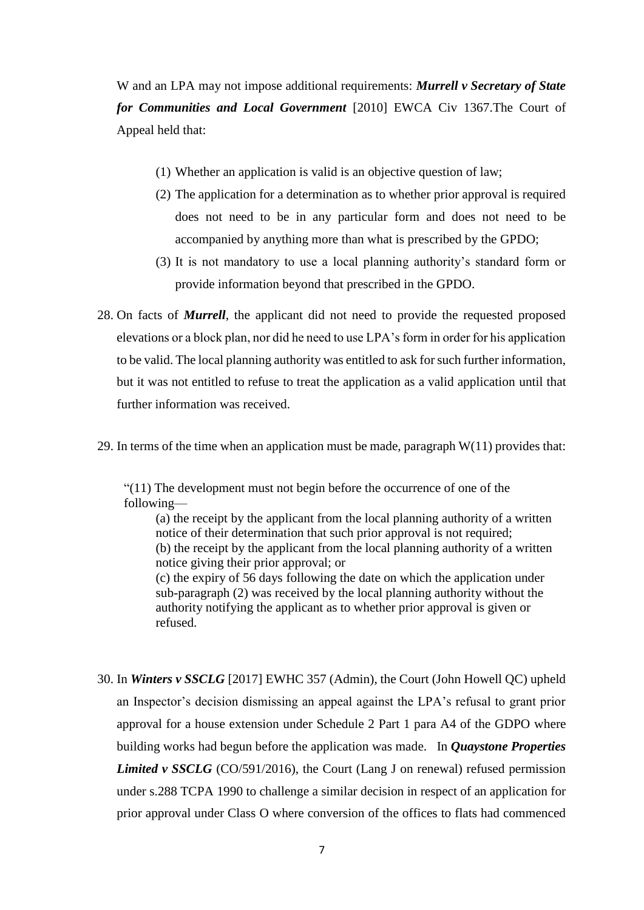W and an LPA may not impose additional requirements: *Murrell v Secretary of State for Communities and Local Government* [2010] EWCA Civ 1367.The Court of Appeal held that:

- (1) Whether an application is valid is an objective question of law;
- (2) The application for a determination as to whether prior approval is required does not need to be in any particular form and does not need to be accompanied by anything more than what is prescribed by the GPDO;
- (3) It is not mandatory to use a local planning authority's standard form or provide information beyond that prescribed in the GPDO.
- 28. On facts of *Murrell*, the applicant did not need to provide the requested proposed elevations or a block plan, nor did he need to use LPA's form in order for his application to be valid. The local planning authority was entitled to ask for such further information, but it was not entitled to refuse to treat the application as a valid application until that further information was received.
- 29. In terms of the time when an application must be made, paragraph  $W(11)$  provides that:

"(11) The development must not begin before the occurrence of one of the following—

(a) the receipt by the applicant from the local planning authority of a written notice of their determination that such prior approval is not required; (b) the receipt by the applicant from the local planning authority of a written notice giving their prior approval; or (c) the expiry of 56 days following the date on which the application under sub-paragraph (2) was received by the local planning authority without the authority notifying the applicant as to whether prior approval is given or refused.

30. In *Winters v SSCLG* [2017] EWHC 357 (Admin), the Court (John Howell QC) upheld an Inspector's decision dismissing an appeal against the LPA's refusal to grant prior approval for a house extension under Schedule 2 Part 1 para A4 of the GDPO where building works had begun before the application was made. In *Quaystone Properties Limited v SSCLG* (CO/591/2016), the Court (Lang J on renewal) refused permission under s.288 TCPA 1990 to challenge a similar decision in respect of an application for prior approval under Class O where conversion of the offices to flats had commenced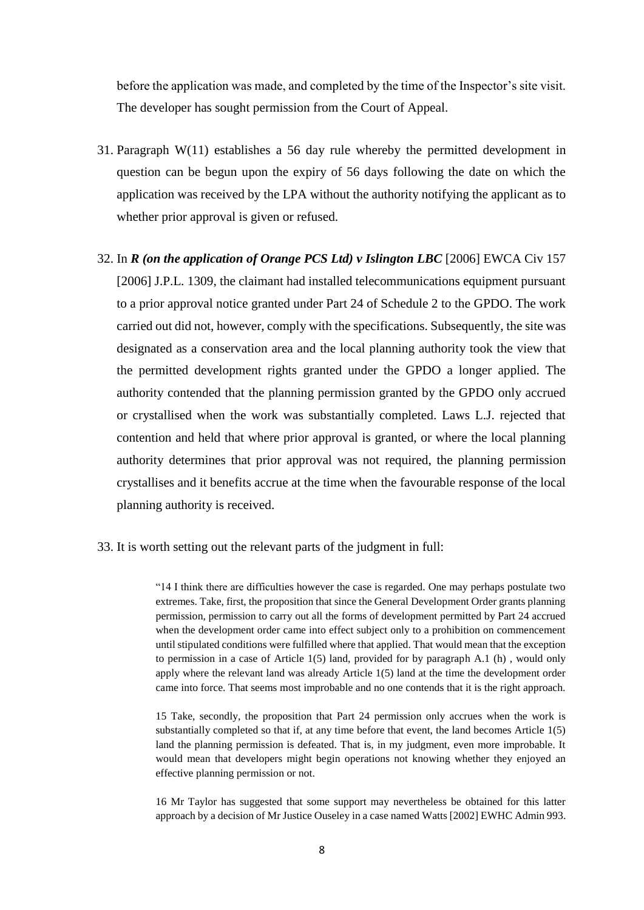before the application was made, and completed by the time of the Inspector's site visit. The developer has sought permission from the Court of Appeal.

- 31. Paragraph W(11) establishes a 56 day rule whereby the permitted development in question can be begun upon the expiry of 56 days following the date on which the application was received by the LPA without the authority notifying the applicant as to whether prior approval is given or refused.
- 32. In *R (on the application of Orange PCS Ltd) v Islington LBC* [2006] EWCA Civ 157 [2006] J.P.L. 1309, the claimant had installed telecommunications equipment pursuant to a prior approval notice granted under Part 24 of Schedule 2 to the GPDO. The work carried out did not, however, comply with the specifications. Subsequently, the site was designated as a conservation area and the local planning authority took the view that the permitted development rights granted under the GPDO a longer applied. The authority contended that the planning permission granted by the GPDO only accrued or crystallised when the work was substantially completed. Laws L.J. rejected that contention and held that where prior approval is granted, or where the local planning authority determines that prior approval was not required, the planning permission crystallises and it benefits accrue at the time when the favourable response of the local planning authority is received.
- 33. It is worth setting out the relevant parts of the judgment in full:

"14 I think there are difficulties however the case is regarded. One may perhaps postulate two extremes. Take, first, the proposition that since the General Development Order grants planning permission, permission to carry out all the forms of development permitted by Part 24 accrued when the development order came into effect subject only to a prohibition on commencement until stipulated conditions were fulfilled where that applied. That would mean that the exception to permission in a case of Article  $1(5)$  land, provided for by paragraph A.1 (h), would only apply where the relevant land was already Article 1(5) land at the time the development order came into force. That seems most improbable and no one contends that it is the right approach.

15 Take, secondly, the proposition that Part 24 permission only accrues when the work is substantially completed so that if, at any time before that event, the land becomes Article 1(5) land the planning permission is defeated. That is, in my judgment, even more improbable. It would mean that developers might begin operations not knowing whether they enjoyed an effective planning permission or not.

16 Mr Taylor has suggested that some support may nevertheless be obtained for this latter approach by a decision of Mr Justice Ouseley in a case named Watts [2002] EWHC Admin 993.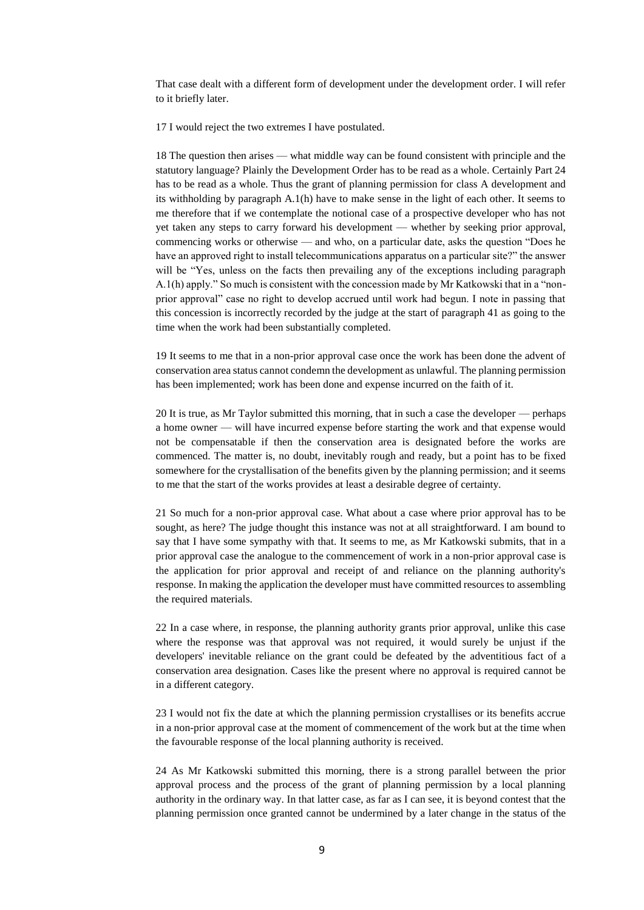That case dealt with a different form of development under the development order. I will refer to it briefly later.

17 I would reject the two extremes I have postulated.

18 The question then arises — what middle way can be found consistent with principle and the statutory language? Plainly the Development Order has to be read as a whole. Certainly Part 24 has to be read as a whole. Thus the grant of planning permission for class A development and its withholding by paragraph A.1(h) have to make sense in the light of each other. It seems to me therefore that if we contemplate the notional case of a prospective developer who has not yet taken any steps to carry forward his development — whether by seeking prior approval, commencing works or otherwise — and who, on a particular date, asks the question "Does he have an approved right to install telecommunications apparatus on a particular site?" the answer will be "Yes, unless on the facts then prevailing any of the exceptions including paragraph A.1(h) apply." So much is consistent with the concession made by Mr Katkowski that in a "nonprior approval" case no right to develop accrued until work had begun. I note in passing that this concession is incorrectly recorded by the judge at the start of paragraph 41 as going to the time when the work had been substantially completed.

19 It seems to me that in a non-prior approval case once the work has been done the advent of conservation area status cannot condemn the development as unlawful. The planning permission has been implemented; work has been done and expense incurred on the faith of it.

20 It is true, as Mr Taylor submitted this morning, that in such a case the developer — perhaps a home owner — will have incurred expense before starting the work and that expense would not be compensatable if then the conservation area is designated before the works are commenced. The matter is, no doubt, inevitably rough and ready, but a point has to be fixed somewhere for the crystallisation of the benefits given by the planning permission; and it seems to me that the start of the works provides at least a desirable degree of certainty.

21 So much for a non-prior approval case. What about a case where prior approval has to be sought, as here? The judge thought this instance was not at all straightforward. I am bound to say that I have some sympathy with that. It seems to me, as Mr Katkowski submits, that in a prior approval case the analogue to the commencement of work in a non-prior approval case is the application for prior approval and receipt of and reliance on the planning authority's response. In making the application the developer must have committed resources to assembling the required materials.

22 In a case where, in response, the planning authority grants prior approval, unlike this case where the response was that approval was not required, it would surely be unjust if the developers' inevitable reliance on the grant could be defeated by the adventitious fact of a conservation area designation. Cases like the present where no approval is required cannot be in a different category.

23 I would not fix the date at which the planning permission crystallises or its benefits accrue in a non-prior approval case at the moment of commencement of the work but at the time when the favourable response of the local planning authority is received.

24 As Mr Katkowski submitted this morning, there is a strong parallel between the prior approval process and the process of the grant of planning permission by a local planning authority in the ordinary way. In that latter case, as far as I can see, it is beyond contest that the planning permission once granted cannot be undermined by a later change in the status of the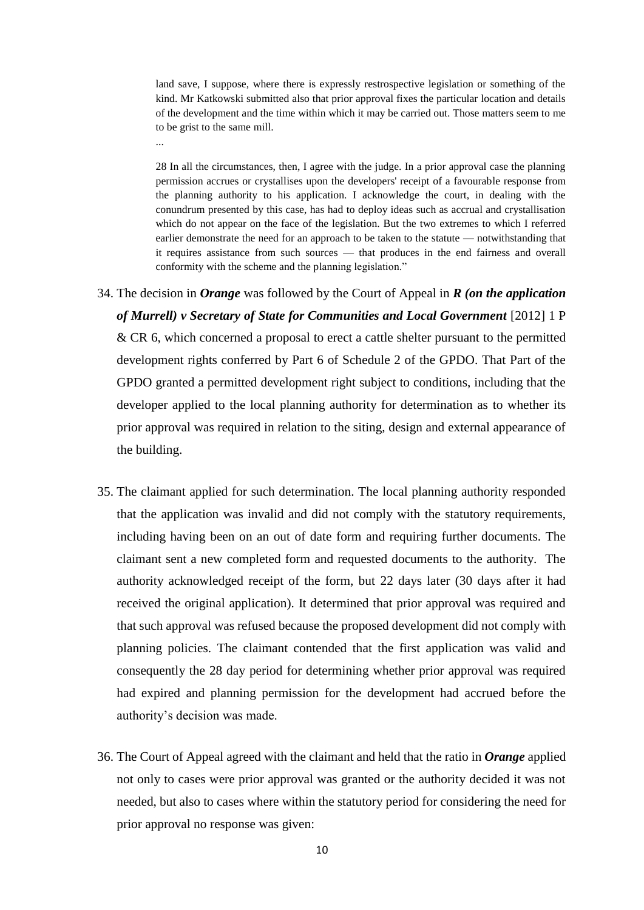land save, I suppose, where there is expressly restrospective legislation or something of the kind. Mr Katkowski submitted also that prior approval fixes the particular location and details of the development and the time within which it may be carried out. Those matters seem to me to be grist to the same mill.

...

28 In all the circumstances, then, I agree with the judge. In a prior approval case the planning permission accrues or crystallises upon the developers' receipt of a favourable response from the planning authority to his application. I acknowledge the court, in dealing with the conundrum presented by this case, has had to deploy ideas such as accrual and crystallisation which do not appear on the face of the legislation. But the two extremes to which I referred earlier demonstrate the need for an approach to be taken to the statute — notwithstanding that it requires assistance from such sources — that produces in the end fairness and overall conformity with the scheme and the planning legislation."

- 34. The decision in *Orange* was followed by the Court of Appeal in *R (on the application of Murrell) v Secretary of State for Communities and Local Government* [2012] 1 P & CR 6, which concerned a proposal to erect a cattle shelter pursuant to the permitted development rights conferred by Part 6 of Schedule 2 of the GPDO. That Part of the GPDO granted a permitted development right subject to conditions, including that the developer applied to the local planning authority for determination as to whether its prior approval was required in relation to the siting, design and external appearance of the building.
- 35. The claimant applied for such determination. The local planning authority responded that the application was invalid and did not comply with the statutory requirements, including having been on an out of date form and requiring further documents. The claimant sent a new completed form and requested documents to the authority. The authority acknowledged receipt of the form, but 22 days later (30 days after it had received the original application). It determined that prior approval was required and that such approval was refused because the proposed development did not comply with planning policies. The claimant contended that the first application was valid and consequently the 28 day period for determining whether prior approval was required had expired and planning permission for the development had accrued before the authority's decision was made.
- 36. The Court of Appeal agreed with the claimant and held that the ratio in *Orange* applied not only to cases were prior approval was granted or the authority decided it was not needed, but also to cases where within the statutory period for considering the need for prior approval no response was given: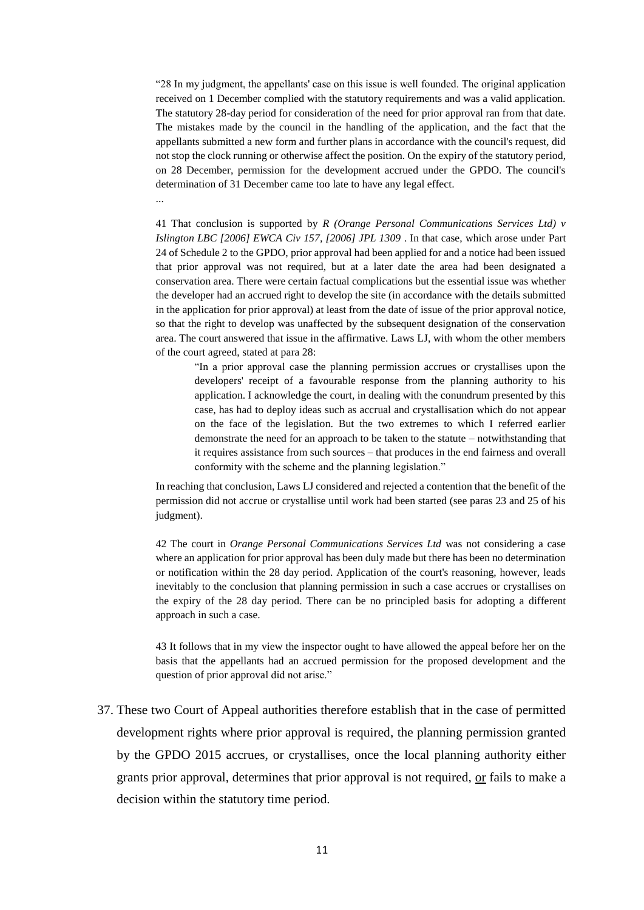"28 In my judgment, the appellants' case on this issue is well founded. The original application received on 1 December complied with the statutory requirements and was a valid application. The statutory 28-day period for consideration of the need for prior approval ran from that date. The mistakes made by the council in the handling of the application, and the fact that the appellants submitted a new form and further plans in accordance with the council's request, did not stop the clock running or otherwise affect the position. On the expiry of the statutory period, on 28 December, permission for the development accrued under the GPDO. The council's determination of 31 December came too late to have any legal effect. ...

41 That conclusion is supported by *R (Orange Personal Communications Services Ltd) v Islington LBC [2006] EWCA Civ 157, [2006] JPL 1309* . In that case, which arose under Part 24 of Schedule 2 to the GPDO, prior approval had been applied for and a notice had been issued that prior approval was not required, but at a later date the area had been designated a conservation area. There were certain factual complications but the essential issue was whether the developer had an accrued right to develop the site (in accordance with the details submitted in the application for prior approval) at least from the date of issue of the prior approval notice, so that the right to develop was unaffected by the subsequent designation of the conservation area. The court answered that issue in the affirmative. Laws LJ, with whom the other members of the court agreed, stated at para 28:

"In a prior approval case the planning permission accrues or crystallises upon the developers' receipt of a favourable response from the planning authority to his application. I acknowledge the court, in dealing with the conundrum presented by this case, has had to deploy ideas such as accrual and crystallisation which do not appear on the face of the legislation. But the two extremes to which I referred earlier demonstrate the need for an approach to be taken to the statute – notwithstanding that it requires assistance from such sources – that produces in the end fairness and overall conformity with the scheme and the planning legislation."

In reaching that conclusion, Laws LJ considered and rejected a contention that the benefit of the permission did not accrue or crystallise until work had been started (see paras 23 and 25 of his judgment).

42 The court in *Orange Personal Communications Services Ltd* was not considering a case where an application for prior approval has been duly made but there has been no determination or notification within the 28 day period. Application of the court's reasoning, however, leads inevitably to the conclusion that planning permission in such a case accrues or crystallises on the expiry of the 28 day period. There can be no principled basis for adopting a different approach in such a case.

43 It follows that in my view the inspector ought to have allowed the appeal before her on the basis that the appellants had an accrued permission for the proposed development and the question of prior approval did not arise."

37. These two Court of Appeal authorities therefore establish that in the case of permitted development rights where prior approval is required, the planning permission granted by the GPDO 2015 accrues, or crystallises, once the local planning authority either grants prior approval, determines that prior approval is not required, or fails to make a decision within the statutory time period.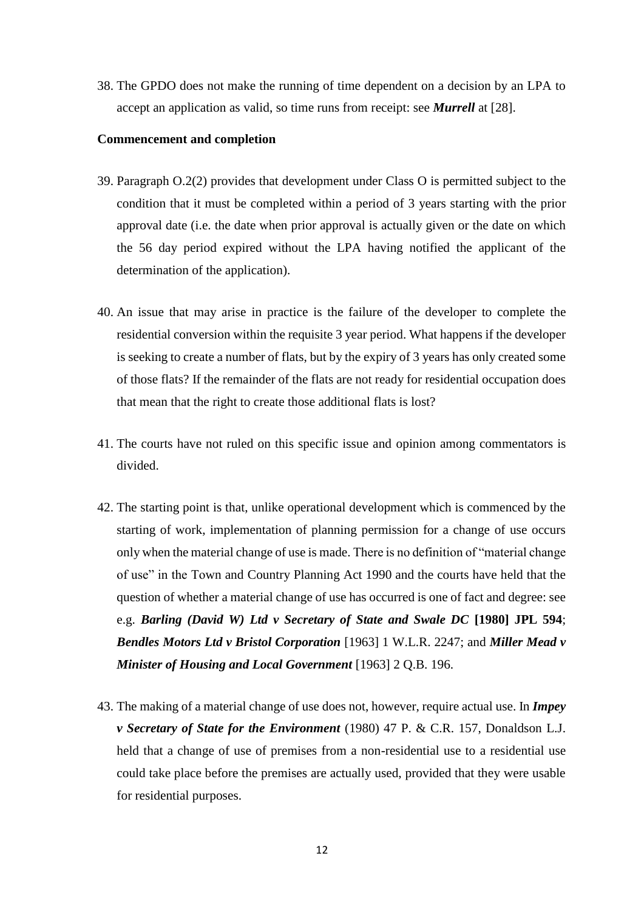38. The GPDO does not make the running of time dependent on a decision by an LPA to accept an application as valid, so time runs from receipt: see *Murrell* at [28].

#### **Commencement and completion**

- 39. Paragraph O.2(2) provides that development under Class O is permitted subject to the condition that it must be completed within a period of 3 years starting with the prior approval date (i.e. the date when prior approval is actually given or the date on which the 56 day period expired without the LPA having notified the applicant of the determination of the application).
- 40. An issue that may arise in practice is the failure of the developer to complete the residential conversion within the requisite 3 year period. What happens if the developer is seeking to create a number of flats, but by the expiry of 3 years has only created some of those flats? If the remainder of the flats are not ready for residential occupation does that mean that the right to create those additional flats is lost?
- 41. The courts have not ruled on this specific issue and opinion among commentators is divided.
- 42. The starting point is that, unlike operational development which is commenced by the starting of work, implementation of planning permission for a change of use occurs only when the material change of use is made. There is no definition of "material change of use" in the Town and Country Planning Act 1990 and the courts have held that the question of whether a material change of use has occurred is one of fact and degree: see e.g. *Barling (David W) Ltd v Secretary of State and Swale DC* **[1980] JPL 594**; *Bendles Motors Ltd v Bristol Corporation* [1963] 1 W.L.R. 2247; and *Miller Mead v Minister of Housing and Local Government* [1963] 2 Q.B. 196.
- 43. The making of a material change of use does not, however, require actual use. In *Impey v Secretary of State for the Environment* (1980) 47 P. & C.R. 157, Donaldson L.J. held that a change of use of premises from a non-residential use to a residential use could take place before the premises are actually used, provided that they were usable for residential purposes.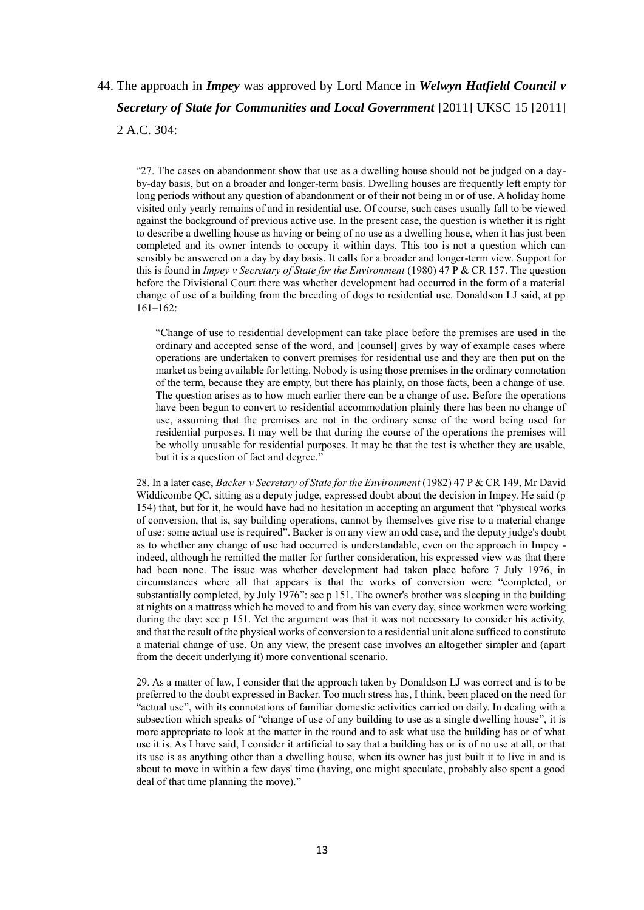# 44. The approach in *Impey* was approved by Lord Mance in *Welwyn Hatfield Council v Secretary of State for Communities and Local Government* [2011] UKSC 15 [2011] 2 A.C. 304:

"27. The cases on abandonment show that use as a dwelling house should not be judged on a dayby-day basis, but on a broader and longer-term basis. Dwelling houses are frequently left empty for long periods without any question of abandonment or of their not being in or of use. A holiday home visited only yearly remains of and in residential use. Of course, such cases usually fall to be viewed against the background of previous active use. In the present case, the question is whether it is right to describe a dwelling house as having or being of no use as a dwelling house, when it has just been completed and its owner intends to occupy it within days. This too is not a question which can sensibly be answered on a day by day basis. It calls for a broader and longer-term view. Support for this is found in *Impey v Secretary of State for the Environment* (1980) 47 P & CR 157. The question before the Divisional Court there was whether development had occurred in the form of a material change of use of a building from the breeding of dogs to residential use. Donaldson LJ said, at pp 161–162:

"Change of use to residential development can take place before the premises are used in the ordinary and accepted sense of the word, and [counsel] gives by way of example cases where operations are undertaken to convert premises for residential use and they are then put on the market as being available for letting. Nobody is using those premises in the ordinary connotation of the term, because they are empty, but there has plainly, on those facts, been a change of use. The question arises as to how much earlier there can be a change of use. Before the operations have been begun to convert to residential accommodation plainly there has been no change of use, assuming that the premises are not in the ordinary sense of the word being used for residential purposes. It may well be that during the course of the operations the premises will be wholly unusable for residential purposes. It may be that the test is whether they are usable, but it is a question of fact and degree."

28. In a later case, *Backer v Secretary of State for the Environment* (1982) 47 P & CR 149, Mr David Widdicombe QC, sitting as a deputy judge, expressed doubt about the decision in Impey. He said (p 154) that, but for it, he would have had no hesitation in accepting an argument that "physical works of conversion, that is, say building operations, cannot by themselves give rise to a material change of use: some actual use is required". Backer is on any view an odd case, and the deputy judge's doubt as to whether any change of use had occurred is understandable, even on the approach in Impey indeed, although he remitted the matter for further consideration, his expressed view was that there had been none. The issue was whether development had taken place before 7 July 1976, in circumstances where all that appears is that the works of conversion were "completed, or substantially completed, by July 1976": see p 151. The owner's brother was sleeping in the building at nights on a mattress which he moved to and from his van every day, since workmen were working during the day: see p 151. Yet the argument was that it was not necessary to consider his activity, and that the result of the physical works of conversion to a residential unit alone sufficed to constitute a material change of use. On any view, the present case involves an altogether simpler and (apart from the deceit underlying it) more conventional scenario.

29. As a matter of law, I consider that the approach taken by Donaldson LJ was correct and is to be preferred to the doubt expressed in Backer. Too much stress has, I think, been placed on the need for "actual use", with its connotations of familiar domestic activities carried on daily. In dealing with a subsection which speaks of "change of use of any building to use as a single dwelling house", it is more appropriate to look at the matter in the round and to ask what use the building has or of what use it is. As I have said, I consider it artificial to say that a building has or is of no use at all, or that its use is as anything other than a dwelling house, when its owner has just built it to live in and is about to move in within a few days' time (having, one might speculate, probably also spent a good deal of that time planning the move)."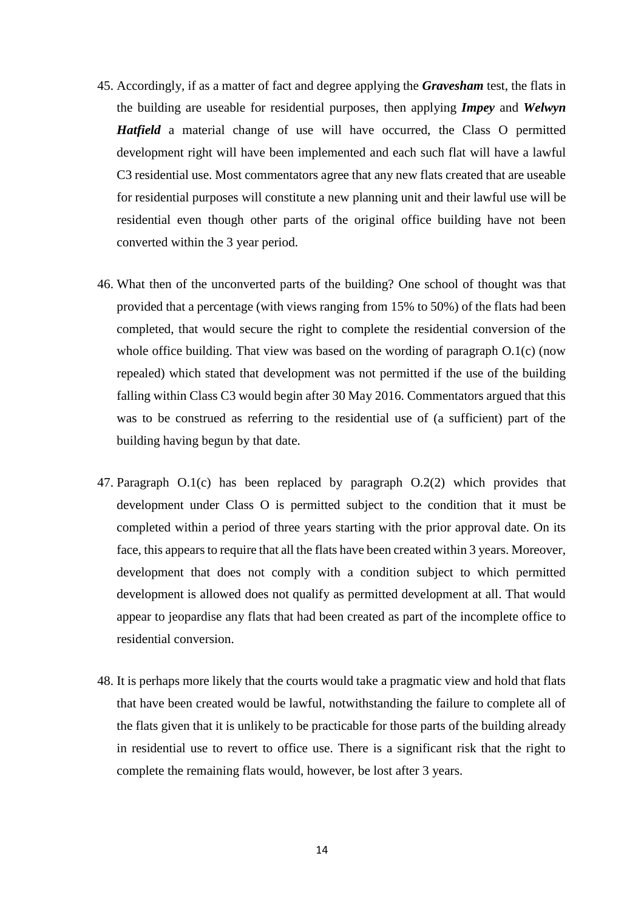- 45. Accordingly, if as a matter of fact and degree applying the *Gravesham* test, the flats in the building are useable for residential purposes, then applying *Impey* and *Welwyn Hatfield* a material change of use will have occurred, the Class O permitted development right will have been implemented and each such flat will have a lawful C3 residential use. Most commentators agree that any new flats created that are useable for residential purposes will constitute a new planning unit and their lawful use will be residential even though other parts of the original office building have not been converted within the 3 year period.
- 46. What then of the unconverted parts of the building? One school of thought was that provided that a percentage (with views ranging from 15% to 50%) of the flats had been completed, that would secure the right to complete the residential conversion of the whole office building. That view was based on the wording of paragraph O.1(c) (now repealed) which stated that development was not permitted if the use of the building falling within Class C3 would begin after 30 May 2016. Commentators argued that this was to be construed as referring to the residential use of (a sufficient) part of the building having begun by that date.
- 47. Paragraph O.1(c) has been replaced by paragraph O.2(2) which provides that development under Class O is permitted subject to the condition that it must be completed within a period of three years starting with the prior approval date. On its face, this appears to require that all the flats have been created within 3 years. Moreover, development that does not comply with a condition subject to which permitted development is allowed does not qualify as permitted development at all. That would appear to jeopardise any flats that had been created as part of the incomplete office to residential conversion.
- 48. It is perhaps more likely that the courts would take a pragmatic view and hold that flats that have been created would be lawful, notwithstanding the failure to complete all of the flats given that it is unlikely to be practicable for those parts of the building already in residential use to revert to office use. There is a significant risk that the right to complete the remaining flats would, however, be lost after 3 years.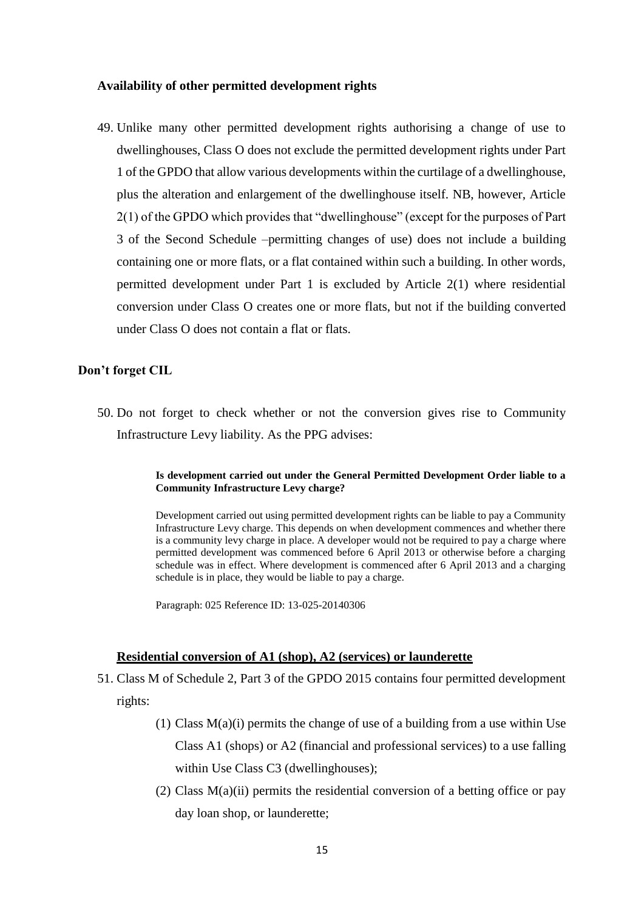#### **Availability of other permitted development rights**

49. Unlike many other permitted development rights authorising a change of use to dwellinghouses, Class O does not exclude the permitted development rights under Part 1 of the GPDO that allow various developments within the curtilage of a dwellinghouse, plus the alteration and enlargement of the dwellinghouse itself. NB, however, Article 2(1) of the GPDO which provides that "dwellinghouse" (except for the purposes of Part 3 of the Second Schedule –permitting changes of use) does not include a building containing one or more flats, or a flat contained within such a building. In other words, permitted development under Part 1 is excluded by Article 2(1) where residential conversion under Class O creates one or more flats, but not if the building converted under Class O does not contain a flat or flats.

## **Don't forget CIL**

50. Do not forget to check whether or not the conversion gives rise to Community Infrastructure Levy liability. As the PPG advises:

#### **Is development carried out under the General Permitted Development Order liable to a Community Infrastructure Levy charge?**

Development carried out using permitted development rights can be liable to pay a Community Infrastructure Levy charge. This depends on when development commences and whether there is a community levy charge in place. A developer would not be required to pay a charge where permitted development was commenced before 6 April 2013 or otherwise before a charging schedule was in effect. Where development is commenced after 6 April 2013 and a charging schedule is in place, they would be liable to pay a charge.

Paragraph: 025 Reference ID: 13-025-20140306

#### **Residential conversion of A1 (shop), A2 (services) or launderette**

- 51. Class M of Schedule 2, Part 3 of the GPDO 2015 contains four permitted development rights:
	- (1) Class  $M(a)(i)$  permits the change of use of a building from a use within Use Class A1 (shops) or A2 (financial and professional services) to a use falling within Use Class C3 (dwellinghouses);
	- (2) Class  $M(a)(ii)$  permits the residential conversion of a betting office or pay day loan shop, or launderette;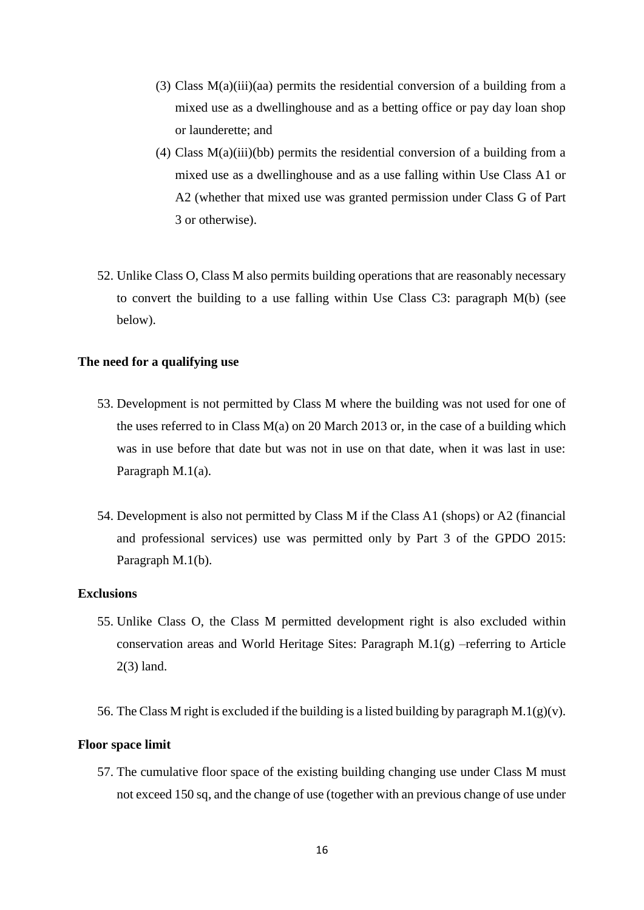- (3) Class  $M(a)(iii)(aa)$  permits the residential conversion of a building from a mixed use as a dwellinghouse and as a betting office or pay day loan shop or launderette; and
- (4) Class M(a)(iii)(bb) permits the residential conversion of a building from a mixed use as a dwellinghouse and as a use falling within Use Class A1 or A2 (whether that mixed use was granted permission under Class G of Part 3 or otherwise).
- 52. Unlike Class O, Class M also permits building operations that are reasonably necessary to convert the building to a use falling within Use Class C3: paragraph M(b) (see below).

## **The need for a qualifying use**

- 53. Development is not permitted by Class M where the building was not used for one of the uses referred to in Class M(a) on 20 March 2013 or, in the case of a building which was in use before that date but was not in use on that date, when it was last in use: Paragraph M.1(a).
- 54. Development is also not permitted by Class M if the Class A1 (shops) or A2 (financial and professional services) use was permitted only by Part 3 of the GPDO 2015: Paragraph M.1(b).

## **Exclusions**

- 55. Unlike Class O, the Class M permitted development right is also excluded within conservation areas and World Heritage Sites: Paragraph  $M(1(g) -referring to Article$ 2(3) land.
- 56. The Class M right is excluded if the building is a listed building by paragraph M.1(g)(v).

## **Floor space limit**

57. The cumulative floor space of the existing building changing use under Class M must not exceed 150 sq, and the change of use (together with an previous change of use under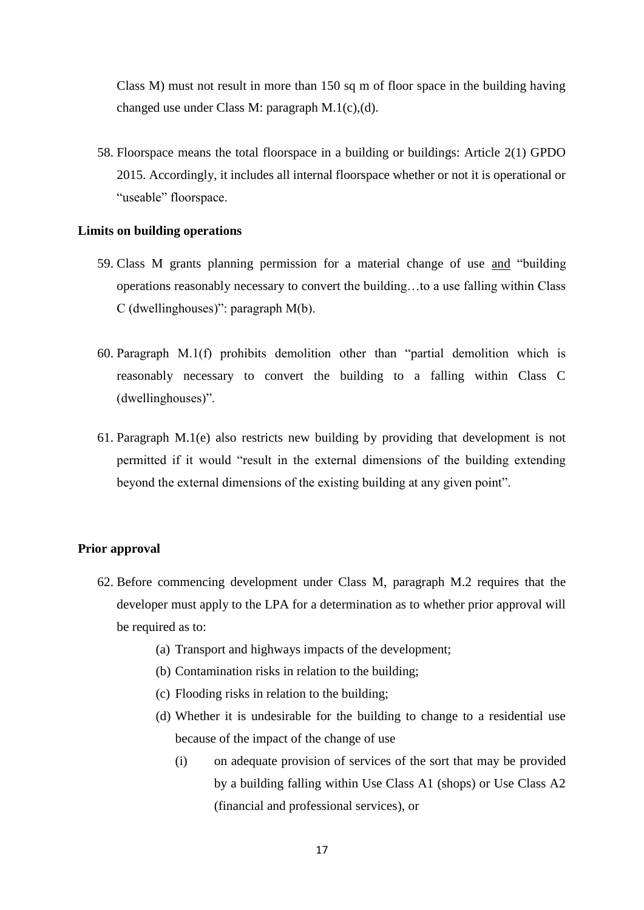Class M) must not result in more than 150 sq m of floor space in the building having changed use under Class M: paragraph M.1(c),(d).

58. Floorspace means the total floorspace in a building or buildings: Article 2(1) GPDO 2015. Accordingly, it includes all internal floorspace whether or not it is operational or "useable" floorspace.

#### **Limits on building operations**

- 59. Class M grants planning permission for a material change of use and "building operations reasonably necessary to convert the building…to a use falling within Class C (dwellinghouses)": paragraph M(b).
- 60. Paragraph M.1(f) prohibits demolition other than "partial demolition which is reasonably necessary to convert the building to a falling within Class C (dwellinghouses)".
- 61. Paragraph M.1(e) also restricts new building by providing that development is not permitted if it would "result in the external dimensions of the building extending beyond the external dimensions of the existing building at any given point".

#### **Prior approval**

- 62. Before commencing development under Class M, paragraph M.2 requires that the developer must apply to the LPA for a determination as to whether prior approval will be required as to:
	- (a) Transport and highways impacts of the development;
	- (b) Contamination risks in relation to the building;
	- (c) Flooding risks in relation to the building;
	- (d) Whether it is undesirable for the building to change to a residential use because of the impact of the change of use
		- (i) on adequate provision of services of the sort that may be provided by a building falling within Use Class A1 (shops) or Use Class A2 (financial and professional services), or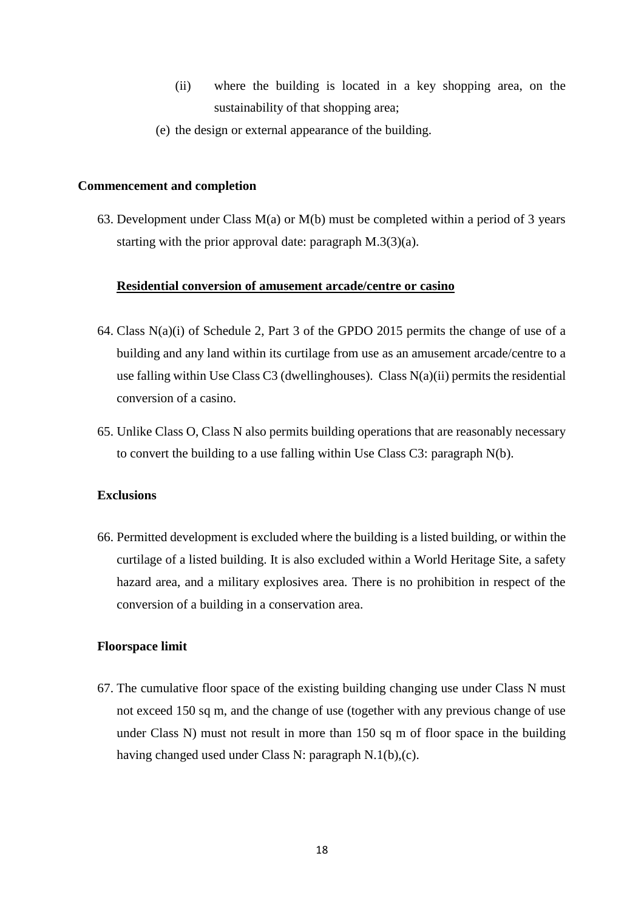- (ii) where the building is located in a key shopping area, on the sustainability of that shopping area;
- (e) the design or external appearance of the building.

# **Commencement and completion**

63. Development under Class M(a) or M(b) must be completed within a period of 3 years starting with the prior approval date: paragraph M.3(3)(a).

#### **Residential conversion of amusement arcade/centre or casino**

- 64. Class N(a)(i) of Schedule 2, Part 3 of the GPDO 2015 permits the change of use of a building and any land within its curtilage from use as an amusement arcade/centre to a use falling within Use Class C3 (dwellinghouses). Class  $N(a)(ii)$  permits the residential conversion of a casino.
- 65. Unlike Class O, Class N also permits building operations that are reasonably necessary to convert the building to a use falling within Use Class C3: paragraph N(b).

# **Exclusions**

66. Permitted development is excluded where the building is a listed building, or within the curtilage of a listed building. It is also excluded within a World Heritage Site, a safety hazard area, and a military explosives area. There is no prohibition in respect of the conversion of a building in a conservation area.

#### **Floorspace limit**

67. The cumulative floor space of the existing building changing use under Class N must not exceed 150 sq m, and the change of use (together with any previous change of use under Class N) must not result in more than 150 sq m of floor space in the building having changed used under Class N: paragraph N.1(b),(c).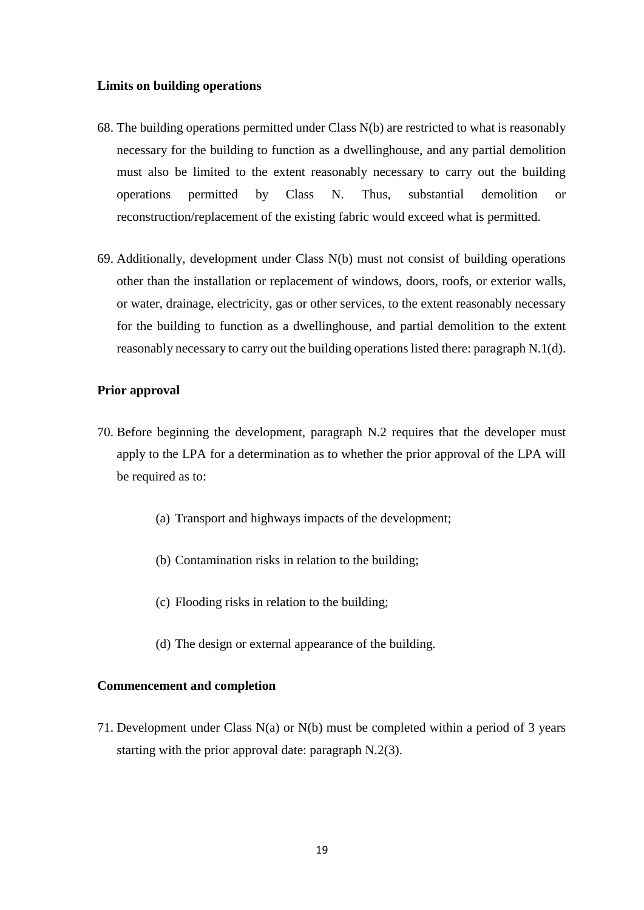#### **Limits on building operations**

- 68. The building operations permitted under Class N(b) are restricted to what is reasonably necessary for the building to function as a dwellinghouse, and any partial demolition must also be limited to the extent reasonably necessary to carry out the building operations permitted by Class N. Thus, substantial demolition or reconstruction/replacement of the existing fabric would exceed what is permitted.
- 69. Additionally, development under Class N(b) must not consist of building operations other than the installation or replacement of windows, doors, roofs, or exterior walls, or water, drainage, electricity, gas or other services, to the extent reasonably necessary for the building to function as a dwellinghouse, and partial demolition to the extent reasonably necessary to carry out the building operations listed there: paragraph N.1(d).

#### **Prior approval**

- 70. Before beginning the development, paragraph N.2 requires that the developer must apply to the LPA for a determination as to whether the prior approval of the LPA will be required as to:
	- (a) Transport and highways impacts of the development;
	- (b) Contamination risks in relation to the building;
	- (c) Flooding risks in relation to the building;
	- (d) The design or external appearance of the building.

## **Commencement and completion**

71. Development under Class N(a) or N(b) must be completed within a period of 3 years starting with the prior approval date: paragraph N.2(3).